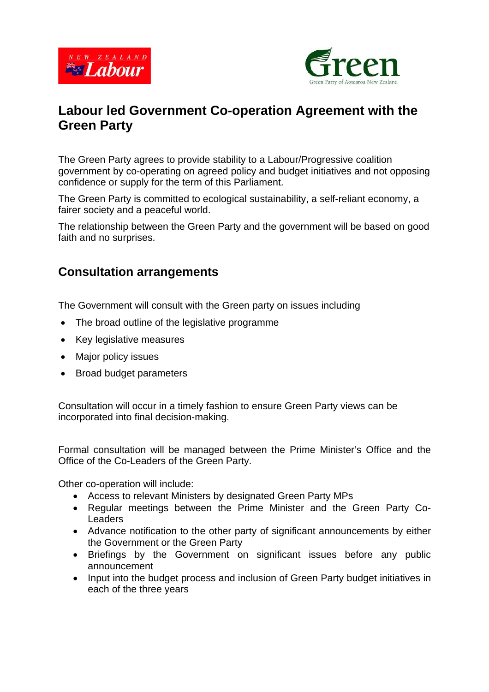



## **Labour led Government Co-operation Agreement with the Green Party**

The Green Party agrees to provide stability to a Labour/Progressive coalition government by co-operating on agreed policy and budget initiatives and not opposing confidence or supply for the term of this Parliament.

The Green Party is committed to ecological sustainability, a self-reliant economy, a fairer society and a peaceful world.

The relationship between the Green Party and the government will be based on good faith and no surprises.

## **Consultation arrangements**

The Government will consult with the Green party on issues including

- The broad outline of the legislative programme
- Key legislative measures
- Major policy issues
- Broad budget parameters

Consultation will occur in a timely fashion to ensure Green Party views can be incorporated into final decision-making.

Formal consultation will be managed between the Prime Minister's Office and the Office of the Co-Leaders of the Green Party.

Other co-operation will include:

- Access to relevant Ministers by designated Green Party MPs
- Regular meetings between the Prime Minister and the Green Party Co-**Leaders**
- Advance notification to the other party of significant announcements by either the Government or the Green Party
- Briefings by the Government on significant issues before any public announcement
- Input into the budget process and inclusion of Green Party budget initiatives in each of the three years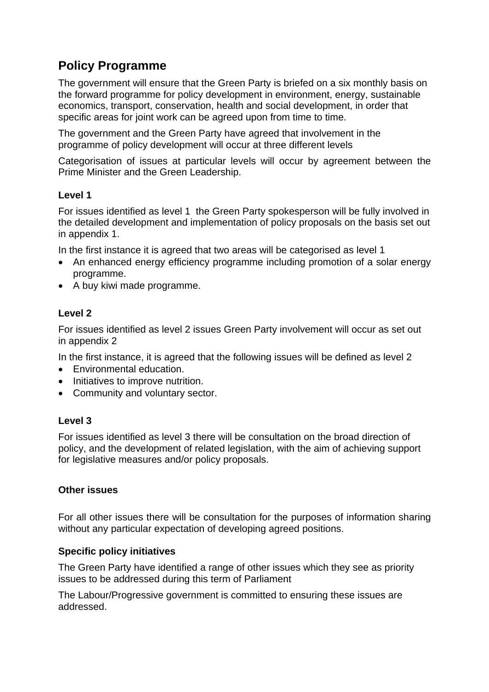## **Policy Programme**

The government will ensure that the Green Party is briefed on a six monthly basis on the forward programme for policy development in environment, energy, sustainable economics, transport, conservation, health and social development, in order that specific areas for joint work can be agreed upon from time to time.

The government and the Green Party have agreed that involvement in the programme of policy development will occur at three different levels

Categorisation of issues at particular levels will occur by agreement between the Prime Minister and the Green Leadership.

### **Level 1**

For issues identified as level 1 the Green Party spokesperson will be fully involved in the detailed development and implementation of policy proposals on the basis set out in appendix 1.

In the first instance it is agreed that two areas will be categorised as level 1

- An enhanced energy efficiency programme including promotion of a solar energy programme.
- A buy kiwi made programme.

## **Level 2**

For issues identified as level 2 issues Green Party involvement will occur as set out in appendix 2

In the first instance, it is agreed that the following issues will be defined as level 2

- Environmental education.
- Initiatives to improve nutrition.
- Community and voluntary sector.

#### **Level 3**

For issues identified as level 3 there will be consultation on the broad direction of policy, and the development of related legislation, with the aim of achieving support for legislative measures and/or policy proposals.

#### **Other issues**

For all other issues there will be consultation for the purposes of information sharing without any particular expectation of developing agreed positions.

#### **Specific policy initiatives**

The Green Party have identified a range of other issues which they see as priority issues to be addressed during this term of Parliament

The Labour/Progressive government is committed to ensuring these issues are addressed.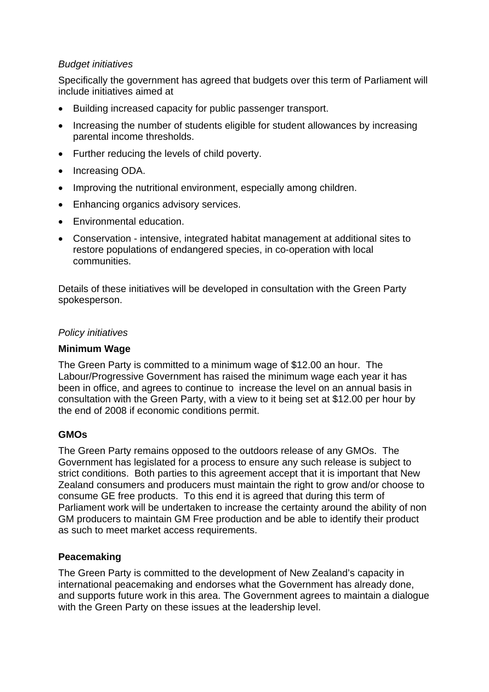### *Budget initiatives*

Specifically the government has agreed that budgets over this term of Parliament will include initiatives aimed at

- Building increased capacity for public passenger transport.
- Increasing the number of students eligible for student allowances by increasing parental income thresholds.
- Further reducing the levels of child poverty.
- Increasing ODA.
- Improving the nutritional environment, especially among children.
- Enhancing organics advisory services.
- Environmental education.
- Conservation intensive, integrated habitat management at additional sites to restore populations of endangered species, in co-operation with local communities.

Details of these initiatives will be developed in consultation with the Green Party spokesperson.

#### *Policy initiatives*

#### **Minimum Wage**

The Green Party is committed to a minimum wage of \$12.00 an hour. The Labour/Progressive Government has raised the minimum wage each year it has been in office, and agrees to continue to increase the level on an annual basis in consultation with the Green Party, with a view to it being set at \$12.00 per hour by the end of 2008 if economic conditions permit.

#### **GMOs**

The Green Party remains opposed to the outdoors release of any GMOs. The Government has legislated for a process to ensure any such release is subject to strict conditions. Both parties to this agreement accept that it is important that New Zealand consumers and producers must maintain the right to grow and/or choose to consume GE free products. To this end it is agreed that during this term of Parliament work will be undertaken to increase the certainty around the ability of non GM producers to maintain GM Free production and be able to identify their product as such to meet market access requirements.

## **Peacemaking**

The Green Party is committed to the development of New Zealand's capacity in international peacemaking and endorses what the Government has already done, and supports future work in this area. The Government agrees to maintain a dialogue with the Green Party on these issues at the leadership level.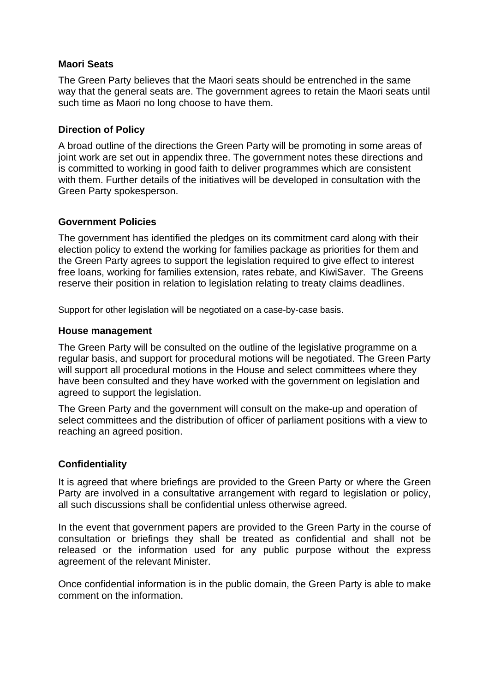#### **Maori Seats**

The Green Party believes that the Maori seats should be entrenched in the same way that the general seats are. The government agrees to retain the Maori seats until such time as Maori no long choose to have them.

### **Direction of Policy**

A broad outline of the directions the Green Party will be promoting in some areas of joint work are set out in appendix three. The government notes these directions and is committed to working in good faith to deliver programmes which are consistent with them. Further details of the initiatives will be developed in consultation with the Green Party spokesperson.

### **Government Policies**

The government has identified the pledges on its commitment card along with their election policy to extend the working for families package as priorities for them and the Green Party agrees to support the legislation required to give effect to interest free loans, working for families extension, rates rebate, and KiwiSaver. The Greens reserve their position in relation to legislation relating to treaty claims deadlines.

Support for other legislation will be negotiated on a case-by-case basis.

#### **House management**

The Green Party will be consulted on the outline of the legislative programme on a regular basis, and support for procedural motions will be negotiated. The Green Party will support all procedural motions in the House and select committees where they have been consulted and they have worked with the government on legislation and agreed to support the legislation.

The Green Party and the government will consult on the make-up and operation of select committees and the distribution of officer of parliament positions with a view to reaching an agreed position.

## **Confidentiality**

It is agreed that where briefings are provided to the Green Party or where the Green Party are involved in a consultative arrangement with regard to legislation or policy, all such discussions shall be confidential unless otherwise agreed.

In the event that government papers are provided to the Green Party in the course of consultation or briefings they shall be treated as confidential and shall not be released or the information used for any public purpose without the express agreement of the relevant Minister.

Once confidential information is in the public domain, the Green Party is able to make comment on the information.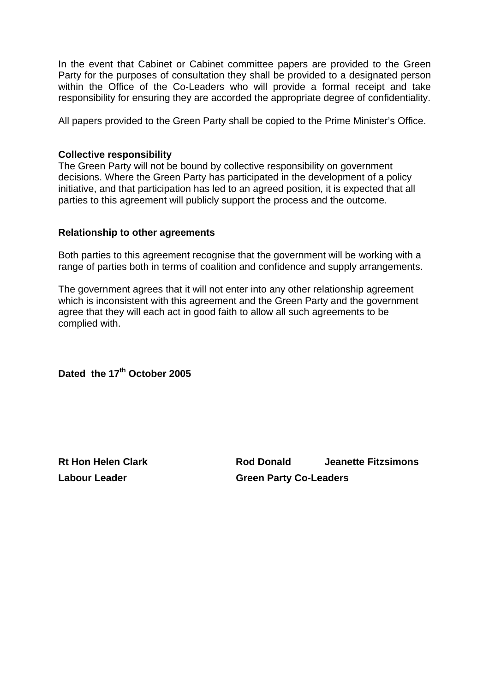In the event that Cabinet or Cabinet committee papers are provided to the Green Party for the purposes of consultation they shall be provided to a designated person within the Office of the Co-Leaders who will provide a formal receipt and take responsibility for ensuring they are accorded the appropriate degree of confidentiality.

All papers provided to the Green Party shall be copied to the Prime Minister's Office.

#### **Collective responsibility**

The Green Party will not be bound by collective responsibility on government decisions. Where the Green Party has participated in the development of a policy initiative, and that participation has led to an agreed position, it is expected that all parties to this agreement will publicly support the process and the outcome*.* 

#### **Relationship to other agreements**

Both parties to this agreement recognise that the government will be working with a range of parties both in terms of coalition and confidence and supply arrangements.

The government agrees that it will not enter into any other relationship agreement which is inconsistent with this agreement and the Green Party and the government agree that they will each act in good faith to allow all such agreements to be complied with.

Dated the 17<sup>th</sup> October 2005

**Rt Hon Helen Clark Rod Donald Jeanette Fitzsimons Labour Leader Green Party Co-Leaders**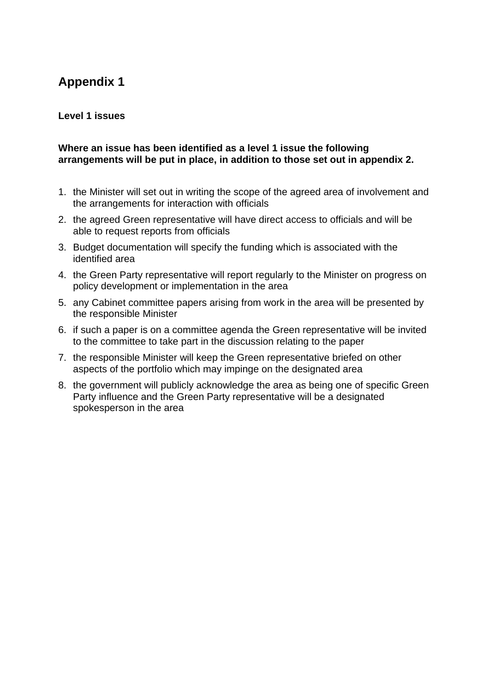## **Appendix 1**

### **Level 1 issues**

#### **Where an issue has been identified as a level 1 issue the following arrangements will be put in place, in addition to those set out in appendix 2.**

- 1. the Minister will set out in writing the scope of the agreed area of involvement and the arrangements for interaction with officials
- 2. the agreed Green representative will have direct access to officials and will be able to request reports from officials
- 3. Budget documentation will specify the funding which is associated with the identified area
- 4. the Green Party representative will report regularly to the Minister on progress on policy development or implementation in the area
- 5. any Cabinet committee papers arising from work in the area will be presented by the responsible Minister
- 6. if such a paper is on a committee agenda the Green representative will be invited to the committee to take part in the discussion relating to the paper
- 7. the responsible Minister will keep the Green representative briefed on other aspects of the portfolio which may impinge on the designated area
- 8. the government will publicly acknowledge the area as being one of specific Green Party influence and the Green Party representative will be a designated spokesperson in the area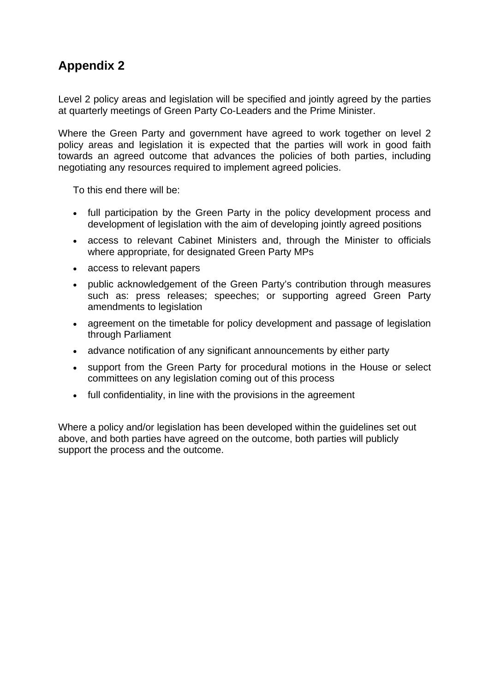## **Appendix 2**

Level 2 policy areas and legislation will be specified and jointly agreed by the parties at quarterly meetings of Green Party Co-Leaders and the Prime Minister.

Where the Green Party and government have agreed to work together on level 2 policy areas and legislation it is expected that the parties will work in good faith towards an agreed outcome that advances the policies of both parties, including negotiating any resources required to implement agreed policies.

To this end there will be:

- full participation by the Green Party in the policy development process and development of legislation with the aim of developing jointly agreed positions
- access to relevant Cabinet Ministers and, through the Minister to officials where appropriate, for designated Green Party MPs
- access to relevant papers
- public acknowledgement of the Green Party's contribution through measures such as: press releases; speeches; or supporting agreed Green Party amendments to legislation
- agreement on the timetable for policy development and passage of legislation through Parliament
- advance notification of any significant announcements by either party
- support from the Green Party for procedural motions in the House or select committees on any legislation coming out of this process
- full confidentiality, in line with the provisions in the agreement

Where a policy and/or legislation has been developed within the guidelines set out above, and both parties have agreed on the outcome, both parties will publicly support the process and the outcome.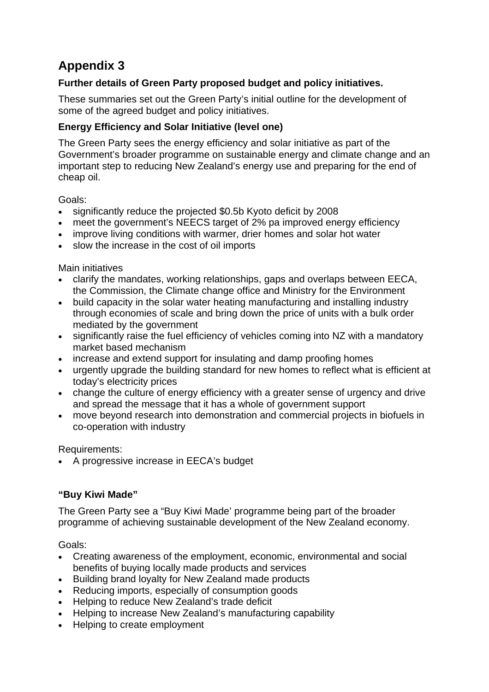# **Appendix 3**

## **Further details of Green Party proposed budget and policy initiatives.**

These summaries set out the Green Party's initial outline for the development of some of the agreed budget and policy initiatives.

### **Energy Efficiency and Solar Initiative (level one)**

The Green Party sees the energy efficiency and solar initiative as part of the Government's broader programme on sustainable energy and climate change and an important step to reducing New Zealand's energy use and preparing for the end of cheap oil.

Goals:

- significantly reduce the projected \$0.5b Kyoto deficit by 2008
- meet the government's NEECS target of 2% pa improved energy efficiency
- improve living conditions with warmer, drier homes and solar hot water
- slow the increase in the cost of oil imports

Main initiatives

- clarify the mandates, working relationships, gaps and overlaps between EECA, the Commission, the Climate change office and Ministry for the Environment
- build capacity in the solar water heating manufacturing and installing industry through economies of scale and bring down the price of units with a bulk order mediated by the government
- significantly raise the fuel efficiency of vehicles coming into NZ with a mandatory market based mechanism
- increase and extend support for insulating and damp proofing homes
- urgently upgrade the building standard for new homes to reflect what is efficient at today's electricity prices
- change the culture of energy efficiency with a greater sense of urgency and drive and spread the message that it has a whole of government support
- move beyond research into demonstration and commercial projects in biofuels in co-operation with industry

Requirements:

• A progressive increase in EECA's budget

## **"Buy Kiwi Made"**

The Green Party see a "Buy Kiwi Made' programme being part of the broader programme of achieving sustainable development of the New Zealand economy.

Goals:

- Creating awareness of the employment, economic, environmental and social benefits of buying locally made products and services
- Building brand loyalty for New Zealand made products
- Reducing imports, especially of consumption goods
- Helping to reduce New Zealand's trade deficit
- Helping to increase New Zealand's manufacturing capability
- Helping to create employment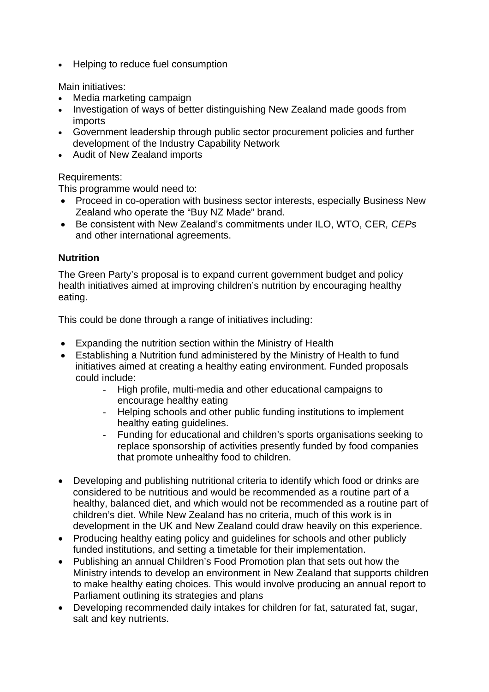• Helping to reduce fuel consumption

Main initiatives:

- Media marketing campaign
- Investigation of ways of better distinguishing New Zealand made goods from imports
- Government leadership through public sector procurement policies and further development of the Industry Capability Network
- Audit of New Zealand imports

### Requirements:

This programme would need to:

- Proceed in co-operation with business sector interests, especially Business New Zealand who operate the "Buy NZ Made" brand.
- Be consistent with New Zealand's commitments under ILO, WTO, CER*, CEPs* and other international agreements.

### **Nutrition**

The Green Party's proposal is to expand current government budget and policy health initiatives aimed at improving children's nutrition by encouraging healthy eating.

This could be done through a range of initiatives including:

- Expanding the nutrition section within the Ministry of Health
- Establishing a Nutrition fund administered by the Ministry of Health to fund initiatives aimed at creating a healthy eating environment. Funded proposals could include:
	- High profile, multi-media and other educational campaigns to encourage healthy eating
	- Helping schools and other public funding institutions to implement healthy eating guidelines.
	- Funding for educational and children's sports organisations seeking to replace sponsorship of activities presently funded by food companies that promote unhealthy food to children.
- Developing and publishing nutritional criteria to identify which food or drinks are considered to be nutritious and would be recommended as a routine part of a healthy, balanced diet, and which would not be recommended as a routine part of children's diet. While New Zealand has no criteria, much of this work is in development in the UK and New Zealand could draw heavily on this experience.
- Producing healthy eating policy and guidelines for schools and other publicly funded institutions, and setting a timetable for their implementation.
- Publishing an annual Children's Food Promotion plan that sets out how the Ministry intends to develop an environment in New Zealand that supports children to make healthy eating choices. This would involve producing an annual report to Parliament outlining its strategies and plans
- Developing recommended daily intakes for children for fat, saturated fat, sugar, salt and key nutrients.